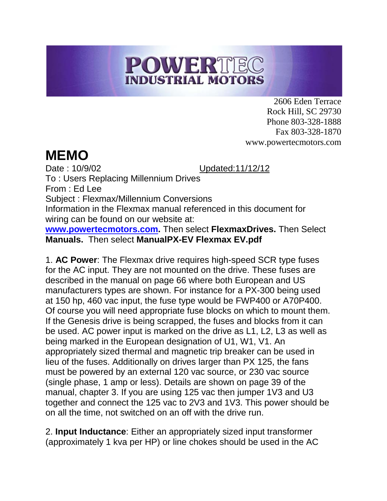## POWERTEC **INDUSTRIAL MOTORS**

2606 Eden Terrace Rock Hill, SC 29730 Phone 803-328-1888 Fax 803-328-1870 www.powertecmotors.com

## **MEMO**

Date : 10/9/02 Updated:11/12/12

To : Users Replacing Millennium Drives From : Ed Lee Subject : Flexmax/Millennium Conversions Information in the Flexmax manual referenced in this document for wiring can be found on our website at: **[www.powertecmotors.com.](http://www.powertecmotors.com/)** Then select **FlexmaxDrives.** Then Select **Manuals.** Then select **ManualPX-EV Flexmax EV.pdf**

1. **AC Power**: The Flexmax drive requires high-speed SCR type fuses for the AC input. They are not mounted on the drive. These fuses are described in the manual on page 66 where both European and US manufacturers types are shown. For instance for a PX-300 being used at 150 hp, 460 vac input, the fuse type would be FWP400 or A70P400. Of course you will need appropriate fuse blocks on which to mount them. If the Genesis drive is being scrapped, the fuses and blocks from it can be used. AC power input is marked on the drive as L1, L2, L3 as well as being marked in the European designation of U1, W1, V1. An appropriately sized thermal and magnetic trip breaker can be used in lieu of the fuses. Additionally on drives larger than PX 125, the fans must be powered by an external 120 vac source, or 230 vac source (single phase, 1 amp or less). Details are shown on page 39 of the manual, chapter 3. If you are using 125 vac then jumper 1V3 and U3 together and connect the 125 vac to 2V3 and 1V3. This power should be on all the time, not switched on an off with the drive run.

2. **Input Inductance**: Either an appropriately sized input transformer (approximately 1 kva per HP) or line chokes should be used in the AC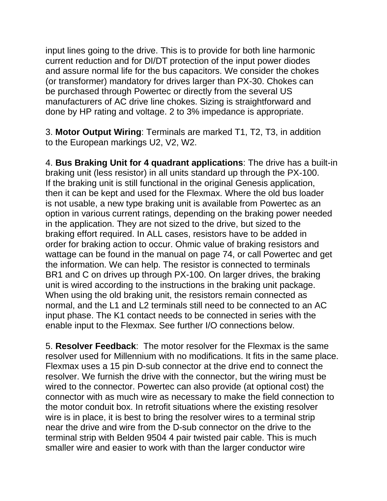input lines going to the drive. This is to provide for both line harmonic current reduction and for DI/DT protection of the input power diodes and assure normal life for the bus capacitors. We consider the chokes (or transformer) mandatory for drives larger than PX-30. Chokes can be purchased through Powertec or directly from the several US manufacturers of AC drive line chokes. Sizing is straightforward and done by HP rating and voltage. 2 to 3% impedance is appropriate.

3. **Motor Output Wiring**: Terminals are marked T1, T2, T3, in addition to the European markings U2, V2, W2.

4. **Bus Braking Unit for 4 quadrant applications**: The drive has a built-in braking unit (less resistor) in all units standard up through the PX-100. If the braking unit is still functional in the original Genesis application, then it can be kept and used for the Flexmax. Where the old bus loader is not usable, a new type braking unit is available from Powertec as an option in various current ratings, depending on the braking power needed in the application. They are not sized to the drive, but sized to the braking effort required. In ALL cases, resistors have to be added in order for braking action to occur. Ohmic value of braking resistors and wattage can be found in the manual on page 74, or call Powertec and get the information. We can help. The resistor is connected to terminals BR1 and C on drives up through PX-100. On larger drives, the braking unit is wired according to the instructions in the braking unit package. When using the old braking unit, the resistors remain connected as normal, and the L1 and L2 terminals still need to be connected to an AC input phase. The K1 contact needs to be connected in series with the enable input to the Flexmax. See further I/O connections below.

5. **Resolver Feedback**: The motor resolver for the Flexmax is the same resolver used for Millennium with no modifications. It fits in the same place. Flexmax uses a 15 pin D-sub connector at the drive end to connect the resolver. We furnish the drive with the connector, but the wiring must be wired to the connector. Powertec can also provide (at optional cost) the connector with as much wire as necessary to make the field connection to the motor conduit box. In retrofit situations where the existing resolver wire is in place, it is best to bring the resolver wires to a terminal strip near the drive and wire from the D-sub connector on the drive to the terminal strip with Belden 9504 4 pair twisted pair cable. This is much smaller wire and easier to work with than the larger conductor wire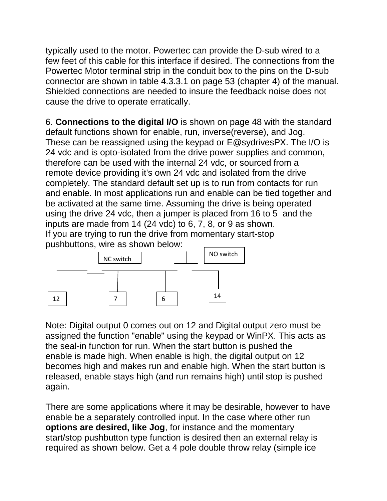typically used to the motor. Powertec can provide the D-sub wired to a few feet of this cable for this interface if desired. The connections from the Powertec Motor terminal strip in the conduit box to the pins on the D-sub connector are shown in table 4.3.3.1 on page 53 (chapter 4) of the manual. Shielded connections are needed to insure the feedback noise does not cause the drive to operate erratically.

6. **Connections to the digital I/O** is shown on page 48 with the standard default functions shown for enable, run, inverse(reverse), and Jog. These can be reassigned using the keypad or E@sydrivesPX. The I/O is 24 vdc and is opto-isolated from the drive power supplies and common, therefore can be used with the internal 24 vdc, or sourced from a remote device providing it's own 24 vdc and isolated from the drive completely. The standard default set up is to run from contacts for run and enable. In most applications run and enable can be tied together and be activated at the same time. Assuming the drive is being operated using the drive 24 vdc, then a jumper is placed from 16 to 5 and the inputs are made from 14 (24 vdc) to 6, 7, 8, or 9 as shown. If you are trying to run the drive from momentary start-stop pushbuttons, wire as shown below:



Note: Digital output 0 comes out on 12 and Digital output zero must be assigned the function "enable" using the keypad or WinPX. This acts as the seal-in function for run. When the start button is pushed the enable is made high. When enable is high, the digital output on 12 becomes high and makes run and enable high. When the start button is released, enable stays high (and run remains high) until stop is pushed again.

There are some applications where it may be desirable, however to have enable be a separately controlled input. In the case where other run **options are desired, like Jog**, for instance and the momentary start/stop pushbutton type function is desired then an external relay is required as shown below. Get a 4 pole double throw relay (simple ice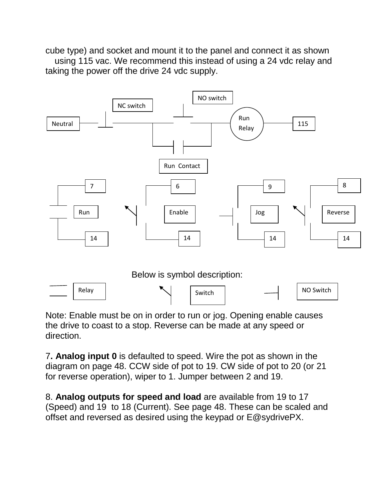cube type) and socket and mount it to the panel and connect it as shown using 115 vac. We recommend this instead of using a 24 vdc relay and taking the power off the drive 24 vdc supply.



Note: Enable must be on in order to run or jog. Opening enable causes the drive to coast to a stop. Reverse can be made at any speed or direction.

7**. Analog input 0** is defaulted to speed. Wire the pot as shown in the diagram on page 48. CCW side of pot to 19. CW side of pot to 20 (or 21 for reverse operation), wiper to 1. Jumper between 2 and 19.

8. **Analog outputs for speed and load** are available from 19 to 17 (Speed) and 19 to 18 (Current). See page 48. These can be scaled and offset and reversed as desired using the keypad or E@sydrivePX.